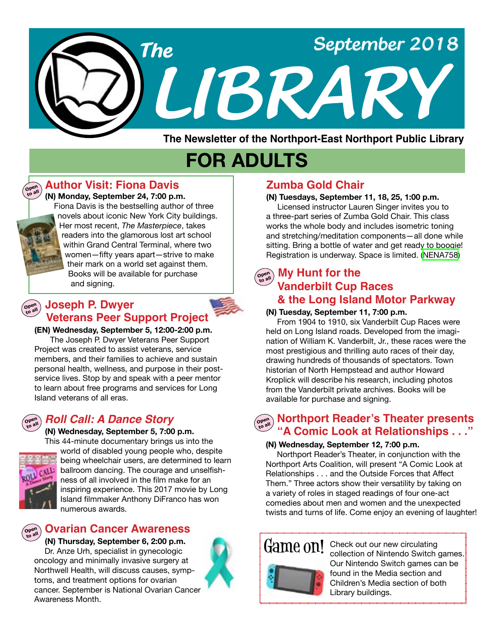

**The Newsletter of the Northport-East Northport Public Library**

# **FOR ADULTS**

### **Author Visit: Fiona Davis**

 **(N) Monday, September 24, 7:00 p.m.** Fiona Davis is the bestselling author of three novels about iconic New York City buildings. Her most recent, *The Masterpiece*, takes readers into the glamorous lost art school within Grand Central Terminal, where two women—fifty years apart—strive to make their mark on a world set against them. Books will be available for purchase and signing.

### **Open to all Joseph P. Dwyer Veterans Peer Support Project**

**(EN) Wednesday, September 5, 12:00-2:00 p.m.**

 The Joseph P. Dwyer Veterans Peer Support Project was created to assist veterans, service members, and their families to achieve and sustain personal health, wellness, and purpose in their postservice lives. Stop by and speak with a peer mentor to learn about free programs and services for Long Island veterans of all eras.

# *Roll Call: A Dance Story*

#### **(N) Wednesday, September 5, 7:00 p.m.**



**Open to all**

**Open to all**

**Open to all**

> This 44-minute documentary brings us into the world of disabled young people who, despite being wheelchair users, are determined to learn ballroom dancing. The courage and unselfishness of all involved in the film make for an inspiring experience. This 2017 movie by Long Island filmmaker Anthony DiFranco has won numerous awards.

# **Ovarian Cancer Awareness**

#### **(N) Thursday, September 6, 2:00 p.m.**

 Dr. Anze Urh, specialist in gynecologic oncology and minimally invasive surgery at Northwell Health, will discuss causes, symptoms, and treatment options for ovarian cancer. September is National Ovarian Cancer Awareness Month.



# **Zumba Gold Chair**

#### **(N) Tuesdays, September 11, 18, 25, 1:00 p.m.**

Licensed instructor Lauren Singer invites you to a three-part series of Zumba Gold Chair. This class works the whole body and includes isometric toning and stretching/meditation components—all done while sitting. Bring a bottle of water and get ready to boogie! Registration is underway. Space is limited. [\(NENA758\)](https://search.livebrary.com/record%3Dg1083984~S43)

#### **My Hunt for the Open to all**

# **Vanderbilt Cup Races & the Long Island Motor Parkway**

#### **(N) Tuesday, September 11, 7:00 p.m.**

From 1904 to 1910, six Vanderbilt Cup Races were held on Long Island roads. Developed from the imagination of William K. Vanderbilt, Jr., these races were the most prestigious and thrilling auto races of their day, drawing hundreds of thousands of spectators. Town historian of North Hempstead and author Howard Kroplick will describe his research, including photos from the Vanderbilt private archives. Books will be available for purchase and signing.

#### **Open to all Northport Reader's Theater presents "A Comic Look at Relationships . . ."**

#### **(N) Wednesday, September 12, 7:00 p.m.**

Northport Reader's Theater, in conjunction with the Northport Arts Coalition, will present "A Comic Look at Relationships . . . and the Outside Forces that Affect Them." Three actors show their versatility by taking on a variety of roles in staged readings of four one-act comedies about men and women and the unexpected twists and turns of life. Come enjoy an evening of laughter!



Game on! Check out our new circulating<br>Collection of Nintendo Switch collection of Nintendo Switch games. Our Nintendo Switch games can be found in the Media section and Children's Media section of both Library buildings.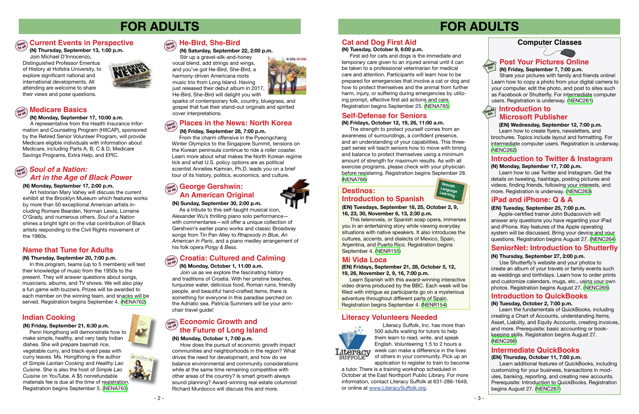# **FOR ADULTS**

# $\left(\begin{smallmatrix} \infty & \infty \ \infty & \infty \end{smallmatrix}\right)$  Current Events in Perspective  $\left(\begin{smallmatrix} \infty & \infty \ \infty & \infty \end{smallmatrix}\right)$  He-Bird, She-Bird





#### **(N) Monday, September 17, 2:00 p.m.**

Art historian Mary Vahey will discuss the current exhibit at the Brooklyn Museum which features works by more than 50 exceptional American artists including Romare Bearden, Norman Lewis, Lorraine O'Grady, and numerous others. *Soul of a Nation* shines a bright light on the vital contribution of Black artists responding to the Civil Rights movement of the 1960s.

**(N) Friday, September 21, 6:30 p.m.** Penn Hongthong will demonstrate how to make simple, healthy, and very tasty Indian dishes. She will prepare basmati rice, vegetable curry, and black-eyed peas with curry leaves. Ms. Hongthong is the author of *Simple Laotian Cooking* and *Healthy Lao Cuisine*. She is also the host of *Simple Lao Cuisine* on YouTube. A \$5 nonrefundable materials fee is due at the time of registration. Registration begins September 5. ([NENA763\)](https://search.livebrary.com/record%3Dg1084486~S43)

# **Name that Tune for Adults**

#### **(N) Thursday, September 20, 7:00 p.m.**

In this program, teams (up to 5 members) will test their knowledge of music from the 1950s to the present. They will answer questions about songs, musicians, albums, and TV shows. We will also play a fun game with buzzers. Prizes will be awarded to each member on the winning team, and snacks will be served. Registration begins September 4. ([NENA762](https://search.livebrary.com/record%3Dg1084481~S43))

#### **(N) Friday, September 28, 7:00 p.m.**

 From the charm offensive in the Pyeongchang Winter Olympics to the Singapore Summit, tensions on the Korean peninsula continue to ride a roller coaster. Learn more about what makes the North Korean regime tick and what U.S. policy options are as political scientist Annelies Kamran, Ph.D. leads you on a brief tour of its history, politics, economics, and culture.

# **Indian Cooking**

### **Computer Classes**

Learn the fundamentals of QuickBooks, including creating a Chart of Accounts, understanding Items, Asset, Liability, and Equity Accounts, creating invoices, and more. Prerequisite: basic accounting or bookkeeping skills. Registration begins August 27. [\(NENC266\)](https://search.livebrary.com/record%3Dg1017275~S43)

# **FOR ADULTS**



### **Introduction to Twitter & Instagram**

#### **(N) Monday, September 17, 7:00 p.m.**

# **Open to all** *Soul of a Nation: Art in the Age of Black Power*

 Learn how to use Twitter and Instagram. Get the details on tweeting, hashtags, posting pictures and videos, finding friends, following your interests, and more. Registration is underway. [\(NENC263\)](https://search.livebrary.com/record%3Dg1080569~S43)

#### **(EN) Wednesday, September 12, 7:00 p.m.**

 Learn how to create flyers, newsletters, and brochures. Topics include layout and formatting. For intermediate computer users. Registration is underway. ([NENC262](https://search.livebrary.com/record%3Dg1061152~S43))

**Hands On**

#### **(N) Friday, September 7, 7:00 p.m.**

 Share your pictures with family and friends online! Learn how to copy a photo from your digital camera to your computer, edit the photo, and post to sites such as Facebook or Shutterfly. For intermediate computer users. Registration is underway. ([NENC261](https://search.livebrary.com/record%3Dg1084676~S43))

# $\left(\begin{smallmatrix} \mathbf{OPE}^{\text{max}} \\ \mathbf{OPE}^{\text{max}} \end{smallmatrix}\right)$  **George Gershwin: An American Original**

#### **iPad and iPhone: Q & A**

#### **Places in the News: North Korea Open to all**

#### **(EN) Tuesday, September 25, 7:00 p.m.**

Apple-certified trainer John Budacovich will answer any questions you have regarding your iPad and iPhone. Key features of the Apple operating system will be discussed. Bring your device and your questions. Registration begins August 27. [\(NENC264\)](https://search.livebrary.com/record%3Dg1063444~S43)

# **SeniorNet: Introduction to Shutterfly**

#### **(N) Thursday, September 27, 2:00 p.m.**

The strength to protect yourself comes from an awareness of surroundings, a confident presence, and an understanding of your capabilities. This threepart series will teach seniors how to move with timing and balance to protect themselves using a minimum amount of strength for maximum results. As with all exercise programs, please check with your physician before registering. Registration begins September 28. [\(NENA766\)](https://search.livebrary.com/record%3Dg1084563~S43)



 Use Shutterfly's website and your photos to create an album of your travels or family events such as weddings and birthdays. Learn how to order prints and customize calendars, mugs, etc., using your own photos. Registration begins August 27. [\(NENC265\)](https://search.livebrary.com/record%3Dg1064207~S43)

# ົດຂ**ຶ**່ງ Economic Growth and **the Future of Long Island**

#### **Introduction to QuickBooks**

#### **(N) Tuesday, October 2, 7:00 p.m.**

#### **(N) Monday, September 17, 10:00 a.m.**

 A representative from the Health Insurance Information and Counseling Program (HIICAP), sponsored by the Retired Senior Volunteer Program, will provide Medicare eligible individuals with information about Medicare, including Parts A, B, C & D, Medicare Savings Programs, Extra Help, and EPIC.

# **Open to all**

 **(N) Saturday, September 22, 2:00 p.m.**

Stir up a gravel-silk-and-honey vocal blend, add strings and wings, and you've got He-Bird, She-Bird, a harmony-driven Americana roots music trio from Long Island. Having just released their debut album in 2017, He-Bird, She-Bird will delight you with



sparks of contemporary folk, country, bluegrass, and gospel that fuel their stand-out originals and spirited cover interpretations.

 **(N) Thursday, September 13, 1:00 p.m.** 

Join Michael D'Innocenzo, Distinguished Professor Emeritus of History at Hofstra University, to explore significant national and international developments. All attending are welcome to share their views and pose questions.



# $\widehat{\theta}$ <sub>coen</sub>) Medicare Basics

#### **(N) Sunday, September 30, 2:00 p.m.**

 As a tribute to this self-taught musical icon, Alexander Wu's thrilling piano solo performance with commentaries—will offer a unique collection of Gershwin's earlier piano works and classic Broadway songs from Tin Pan Alley to *Rhapsody in Blue*, *An American in Paris*, and a piano medley arrangement of his folk opera *Porgy & Bess*.

### **Introduction to Hands On Microsoft Publisher**

#### **Open to all Croatia: Cultured and Calming**

 **(N) Monday, October 1, 11:00 a.m.** Join us as we explore the fascinating history and traditions of Croatia. With her pristine beaches, turquoise water, delicious food, Roman ruins, friendly people, and beautiful hand-crafted items, there is something for everyone in this paradise perched on the Adriatic sea. Patricia Summers will be your armchair travel guide!

# **Self-Defense for Seniors**

#### **(N) Fridays, October 12, 19, 26, 11:00 a.m.**

#### **(N) Monday, October 1, 7:00 p.m.**

 How does the pursuit of economic growth impact communities and neighborhoods in the region? What drives the need for development, and how do we balance environmental and community considerations while at the same time remaining competitive with other areas of the country? Is smart growth always sound planning? Award-winning real estate columnist Richard Murdocco will discuss this and more.



#### **(EN) Tuesdays, September 18, 25, October 2, 9, 16, 23, 30, November 6, 13, 2:30 p.m.**

This telenovela, or Spanish soap opera, immerses you in an entertaining story while viewing everyday situations with native speakers. It also introduces the cultures, accents, and dialects of Mexico, Spain, Argentina, and Puerto Rico. Registration begins September 4. [\(NENR155](https://search.livebrary.com/record%3Dg1084621~S43))

# **Cat and Dog First Aid**

**(N) Tuesday, October 9, 6:00 p.m.**

First aid for cats and dogs is the immediate and temporary care given to an injured animal until it can be taken to a professional veterinarian for medical care and attention. Participants will learn how to be prepared for emergencies that involve a cat or dog and how to protect themselves and the animal from further harm, injury, or suffering during emergencies by utilizing prompt, effective first aid actions and care. Registration begins September 25. [\(NENA765\)](https://search.livebrary.com/record%3Dg1084501~S43)

**(EN) Fridays, September 21, 28, October 5, 12, 19, 26, November 2, 9, 16, 7:00 p.m.** 

### **Destinos: Introduction to Spanish**

Learn Spanish with this award-winning interactive video drama produced by the BBC. Each week will be filled with intrigue as participants go on a mysterious adventure throughout different parts of Spain. Registration begins September 4. [\(NENR154\)](https://search.livebrary.com/record%3Dg1084622~S43)

#### **Mi Vida Loca**

#### **Intermediate QuickBooks**

#### **(EN) Thursday, October 11, 7:00 p.m.**

Learn additional features of QuickBooks, including customizing for your business, transactions in modules, banking, reporting, and creating new accounts. Prerequisite: Introduction to QuickBooks. Registration begins August 27. [\(NENC267\)](https://search.livebrary.com/record%3Dg1084686~S43)

# **Literacy Volunteers Needed**



Literacy Suffolk, Inc. has more than 500 adults waiting for tutors to help them learn to read, write, and speak English. Volunteering 1.5 to 2 hours a week can make a difference in the lives of others in your community. Pick up an application to register to train to become

a tutor. There is a training workshop scheduled in October at the East Northport Public Library. For more information, contact Literacy Suffolk at 631-286-1649, or online at www.LiteracySuffolk.org.

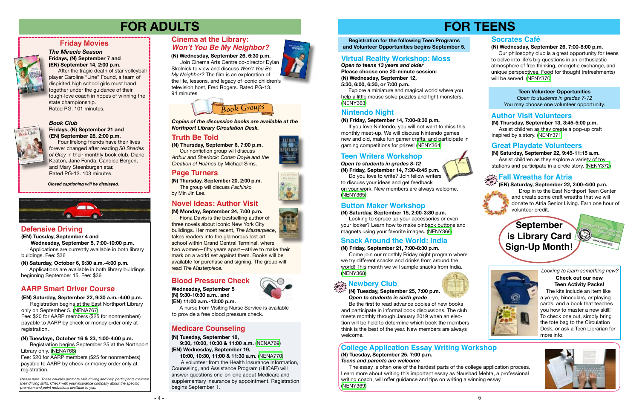- 5 -

# **FOR TEENS**



# **Teen Writers Workshop**

 **(N) Saturday, September 15, 2:00-3:30 p.m.**

 Looking to spruce up your accessories or even your locker? Learn how to make pinback buttons and magnets using your favorite images. [\(NENY366\)](https://search.livebrary.com/record%3Dg1084388~S43)

 The essay is often one of the hardest parts of the college application process. Learn more about writing this important essay as Naushad Mehta, a professional writing coach, will offer guidance and tips on writing a winning essay. ([NENY369\)](https://search.livebrary.com/record%3Dg1084409~S43)







# **Button Maker Workshop**









**(N) Tuesday, September 25, 7:00 p.m.** *Teens and parents are welcome*

# **College Application Essay Writing Workshop**

**Teen Volunteer Opportunities**  *Open to students in grades 7-12* You may choose one volunteer opportunity.

# **Author Visit Volunteers**

**(N) Thursday, September 13, 3:45-5:00 p.m.** Assist children as they create a pop-up craft inspired by a story. [\(NENY371](https://search.livebrary.com/record%3Dg1084489~S43))

Please note: These courses promote safe driving and help participants mainta *their driving skills. Check with your insurance company about the specific premium and point reductions available to you.*

### **Great Playdate Volunteers**

- 4 -







#### *Book Club* **Fridays, (N) September 21 and (EN) September 28, 2:00 p.m.**

 Four lifelong friends have their lives forever changed after reading *50 Shades of Grey* in their monthly book club. Diane Keaton, Jane Fonda, Candice Bergen, and Mary Steenburgen star. Rated PG-13. 103 minutes.

# **Friday Movies**

#### *The Miracle Season* **Fridays, (N) September 7 and (EN) September 14, 2:00 p.m.**

Fee: \$20 for AARP members (\$25 for nonmembers) payable to AARP by check or money order only at registration.

After the tragic death of star volleyball player Caroline "Line" Found, a team of dispirited high school girls must band together under the guidance of their tough-love coach in hopes of winning the state championship. Rated PG. 101 minutes.

# chil') des

*Closed captioning will be displayed.*



# **FOR ADULTS**

# **Defensive Driving**

# **AARP Smart Driver Course**

**(EN) Tuesday, September 4 and Wednesday, September 5, 7:00-10:00 p.m.** Applications are currently available in both library buildings. Fee: \$36

**(EN) Saturday, September 22, 9:30 a.m.-4:00 p.m.**

Registration begins at the East Northport Library only on September 5. [\(NENA767](https://search.livebrary.com/record%3Dg1084605~S43)) Fee: \$20 for AARP members (\$25 for nonmembers) payable to AARP by check or money order only at registration.

 **(N) Saturday, October 6, 9:30 a.m.-4:00 p.m.** Applications are available in both library buildings beginning September 15. Fee: \$36

#### **(N) Wednesday, September 26, 6:30 p.m.**

 Join Cinema Arts Centre co-director Dylan Skolnick to view and discuss *Won't You Be My Neighbor?* The film is an exploration of the life, lessons, and legacy of iconic children's television host, Fred Rogers. Rated PG-13. 94 minutes.

**(N) Tuesdays, October 16 & 23, 1:00-4:00 p.m.**

Registration begins September 25 at the Northport Library only. ([NENA768](https://search.livebrary.com/record%3Dg1084607~S43))

**(N) Thursday, September 6, 7:00 p.m.** Our nonfiction group will discuss *Arthur and Sherlock: Conan Doyle and the Creation of Holmes* by Michael Sims.

# **drop in Fall Wreaths for Atria**

*Book Groups*

**(N) Monday, September 24, 7:00 p.m.**

# **Truth Be Told Truth Be Told**

 Fiona Davis is the bestselling author of three novels about iconic New York City buildings. Her most recent, *The Masterpiece*, takes readers into the glamorous lost art school within Grand Central Terminal, where two women—fifty years apart—strive to make their mark on a world set against them. Books will be available for purchase and signing. The group will read *The Masterpiece.*

# **Cinema at the Library: Won't You Be My Neighbor?**

**(N) Thursday, September 20, 2:00 p.m.** The group will discuss *Pachinko* by Min Jin Lee.

*Copies of the discussion books are available at the Northport Library Circulation Desk.* 

# **Novel Ideas: Author Visit**

# **Page Turners**

**(N) Tuesday, September 18, 9:30, 10:00, 10:30 & 11:00 a.m.** ([NENA769](https://search.livebrary.com/record%3Dg1084609~S43)) **(EN) Wednesday, September 19,**

 **10:00, 10:30, 11:00 & 11:30 a.m.** ([NENA770](https://search.livebrary.com/record%3Dg1084614~S43))

A volunteer from the Health Insurance Information, Counseling, and Assistance Program (HIICAP) will answer questions one-on-one about Medicare and supplementary insurance by appointment. Registration begins September 1.

# **Medicare Counseling**

 **Wednesday, September 5 (N) 9:30-10:30 a.m., and**

 **(EN) 11:00 a.m.-12:00 p.m.** 

 A nurse from Visiting Nurse Service is available to provide a free blood pressure check.

# **Blood Pressure Check**

*Open to teens 13 years and older* **Please choose one 20-minute session: (N) Wednesday, September 12, 5:30, 6:00, 6:30, or 7:00 p.m.** 

 Explore a miniature and magical world where you help a little mouse solve puzzles and fight monsters. [\(NENY363\)](https://search.livebrary.com/record%3Dg1084490~S43)

#### **(N) Friday, September 14, 7:00-8:30 p.m.**

If you love Nintendo, you will not want to miss this monthly meet-up. We will discuss Nintendo games new and old, make fun gamer crafts, and participate in gaming competitions for prizes! ([NENY364](https://search.livebrary.com/record%3Dg1084386~S43))

# **Virtual Reality Workshop: Moss**

# **Nintendo Night**

*Open to students in grades 8-12* **(N) Friday, September 14, 7:30-8:45 p.m.**

 Do you love to write? Join fellow writers to discuss your ideas and get feedback on your work. New members are always welcome. ([NENY365](https://search.livebrary.com/record%3Dg1084387~S43))

#### **(N) Friday, September 21, 7:00-8:30 p.m.**

 Come join our monthly Friday night program where we try different snacks and drinks from around the world! This month we will sample snacks from India. ([NENY368](https://search.livebrary.com/record%3Dg1084389~S43))

#### *Looking to learn something new?*  **Check out our new Teen Activity Packs!**

# **Snack Around the World: India**

#### **(N) Wednesday, September 26, 7:00-8:00 p.m.**

Our philosophy club is a great opportunity for teens to delve into life's big questions in an enthusiastic atmosphere of free thinking, energetic exchange, and unique perspectives. Food for thought (refreshments) will be served. [\(NENY370\)](https://search.livebrary.com/record%3Dg1084446~S43)

# **Socrates Café**

**(N) Saturday, September 22, 9:45-11:15 a.m.** Assist children as they explore a variety of toy stations and participate in a circle story. [\(NENY372](https://search.livebrary.com/record%3Dg1084447~S43))

#### **(EN) Saturday, September 22, 2:00-4:00 p.m.**

 Drop in to the East Northport Teen Center and create some craft wreaths that we will donate to Atria Senior Living. Earn one hour of volunteer credit.

> The kits include an item like a yo-yo, binoculars, or playing cards, and a book that teaches you how to master a new skill! To check one out, simply bring the tote bag to the Circulation Desk, or ask a Teen Librarian for more info.



#### **(N) Tuesday, September 25, 7:00 p.m.** *Open to students in sixth grade*

Be the first to read advance copies of new books and participate in informal book discussions. The club meets monthly through January 2019 when an election will be held to determine which book the members think is the best of the year. New members are always welcome.

# **drop Newbery Club in**



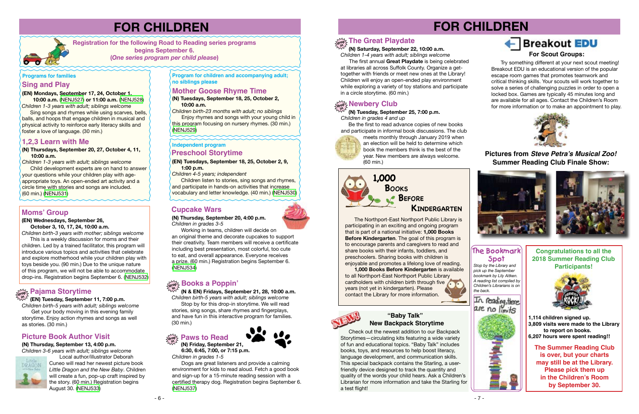



#### **(N) Thursdays, September 20, 27, October 4, 11, 10:00 a.m.**

*Children 1-3 years with adult; siblings welcome* Child development experts are on hand to answer your questions while your children play with ageappropriate toys. An open-ended art activity and a circle time with stories and songs are included. (60 min.) ([NENJ531](https://search.livebrary.com/record%3Dg1084503~S43))

### **Sing and Play**

**(EN) Mondays, September 17, 24, October 1,**

 **10:00 a.m.** ([NENJ527](https://search.livebrary.com/record%3Dg1084207~S43)) **or 11:00 a.m.** ([NENJ528](https://search.livebrary.com/record%3Dg1084209~S43)) *Children 1-3 years with adult; siblings welcome*

*Children birth-23 months with adult; no siblings* Enjoy rhymes and songs with your young child in this program focusing on nursery rhymes. (30 min.)

 $(NENJ529)$ 

 Sing songs and rhymes while using scarves, bells, balls, and hoops that engage children in musical and physical activity to reinforce early literacy skills and foster a love of language. (30 min.)

#### **Programs for families**

# **FOR CHILDREN**

**Registration for the following Road to Reading series programs begins September 6. (***One series program per child please***)** 

# **1,2,3 Learn with Me**

**Program for children and accompanying adult; no siblings please** 

**(N) Tuesdays, September 18, 25, October 2, 10:00 a.m.**

# **Mother Goose Rhyme Time**

#### $\mathbb{Z}/\mathbb{Z}$  Newbery Club **in**

 **(N & EN) Fridays, September 21, 28, 10:00 a.m.** *Children birth-5 years with adult; siblings welcome*

Stop by for this drop-in storytime. We will read stories, sing songs, share rhymes and fingerplays, and have fun in this interactive program for families. (30 min.)

Get your body moving in this evening family storytime. Enjoy action rhymes and songs as well as stories. (30 min.)

**(N) Thursday, September 20, 4:00 p.m.** *Children in grades 3-5*

Working in teams, children will decide on an original theme and decorate cupcakes to support their creativity. Team members will receive a certificate including best presentation, most colorful, too cute to eat, and overall appearance. Everyone receives a prize. (60 min.) Registration begins September 6. ([NENJ534](https://search.livebrary.com/record%3Dg1084504~S43))

# **Cupcake Wars**

# **Picture Book Author Visit**

**(N) Thursday, September 13, 4:00 p.m.** *Children 3-6 years with adult; siblings welcome*



Local author/illustrator Deborah Cuneo will read her newest picture book *Little Dragon and the New Baby*. Children will create a fun, pop-up craft inspired by the story. (60 min.) Registration begins August 30. ([NENJ533](https://search.livebrary.com/record%3Dg1084506~S43))

# **FOR CHILDREN**

# **Breakout EDU**

*Stop by the Library and pick up the September bookmark by Lily Aitken. A reading list compiled by Children's Librarians is on the back.*



# **The Bookmark Spot**

 **(N) Tuesday, September 25, 7:00 p.m.** *Children in grades 4 and up*

Be the first to read advance copies of new books and participate in informal book discussions. The club



# **Books a Poppin' drop in**

meets monthly through January 2019 when an election will be held to determine which book the members think is the best of the year. New members are always welcome. (60 min.)

 **(EN) Tuesday, September 11, 7:00 p.m.** *Children birth-5 years with adult; siblings welcome* **in**

 **(N) Saturday, September 22, 10:00 a.m.** *Children 1-4 years with adult; siblings welcome*

# **drop in The Great Playdate**

 The first annual **Great Playdate** is being celebrated at libraries all across Suffolk County. Organize a gettogether with friends or meet new ones at the Library! Children will enjoy an open-ended play environment while exploring a variety of toy stations and participate in a circle storytime. (60 min.)

> **The Summer Reading Club is over, but your charts may still be at the Library. Please pick them up in the Children's Room by September 30.**

**Congratulations to all the 2018 Summer Reading Club Participants!**



**1,114 children signed up. 3,809 visits were made to the Library to report on books. 6,207 hours were spent reading!!**

**(EN) Tuesdays, September 18, 25, October 2, 9, 1:00 p.m.**

*Children 4-5 years; independent*

Children listen to stories, sing songs and rhymes, and participate in hands-on activities that increase vocabulary and letter knowledge. (40 min.) ([NENJ530](https://search.livebrary.com/record%3Dg1084203~S43))

# **Independent program**

# **Preschool Storytime**

# **Moms' Group**

#### **(EN) Wednesdays, September 26,**

 **October 3, 10, 17, 24, 10:00 a.m.** *Children birth-3 years with mother; siblings welcome*

 This is a weekly discussion for moms and their children. Led by a trained facilitator, this program will introduce various topics and activities that celebrate and explore motherhood while your children play with toys beside you. (90 min.) Due to the unique nature of this program, we will not be able to accommodate drop-ins. Registration begins September 6. ([NENJ532](https://search.livebrary.com/record%3Dg1084202~S43))

# $\mathcal{C}^{\mathcal{M}}_{\mathbf{d} \mathbf{c} \mathbf{d} \mathbf{c} \mathbf{c}}$  Pajama Storytime



**Pictures from Steve Petra's Musical Zoo! Summer Reading Club Finale Show:**





#### **drop Paws to Read**

Dogs are great listeners and provide a calming environment for kids to read aloud. Fetch a good book and sign-up for a 15-minute reading session with a certified therapy dog. Registration begins September 6. [\(NENJ537\)](https://search.livebrary.com/record%3Dg1084508~S43)



The Northport-East Northport Public Library is participating in an exciting and ongoing program that is part of a national initiative: **1,000 Books Before Kindergarten**. The goal of this program is to encourage parents and caregivers to read and share books with their infants, toddlers, and preschoolers. Sharing books with children is enjoyable and promotes a lifelong love of reading.

**1,000 Books Before Kindergarten** is available to all Northport-East Northport Public Library cardholders with children birth through five years (not yet in kindergarten). Please contact the Library for more information.



# 1,000 **Books Kindergarten Before**

 Check out the newest addition to our Backpack Storytimes—circulating kits featuring a wide variety of fun and educational topics. "Baby Talk" includes books, toys, and resources to help boost literacy, language development, and communication skills. This special backpack contains the Starling, a userfriendly device designed to track the quantity and quality of the words your child hears. Ask a Children's Librarian for more information and take the Starling for a test flight!

#### **New Backpack Storytime "Baby Talk"**

Try something different at your next scout meeting! Breakout EDU is an educational version of the popular escape room games that promotes teamwork and critical thinking skills. Your scouts will work together to solve a series of challenging puzzles in order to open a locked box. Games are typically 45 minutes long and are available for all ages. Contact the Children's Room for more information or to make an appointment to play.



### **For Scout Groups:**